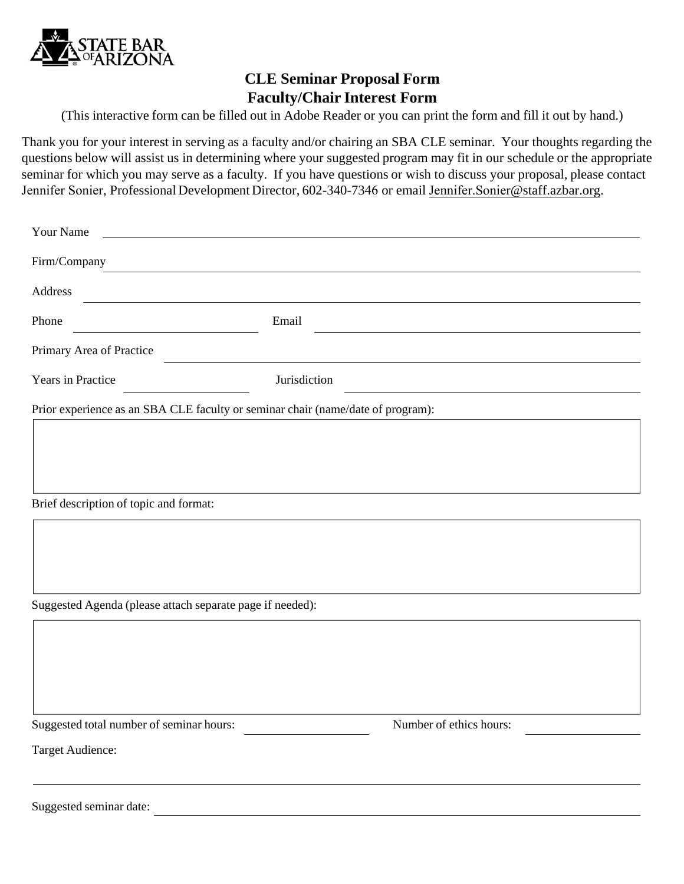

## **CLE Seminar Proposal Form Faculty/Chair Interest Form**

(This interactive form can be filled out in Adobe Reader or you can print the form and fill it out by hand.)

Thank you for your interest in serving as a faculty and/or chairing an SBA CLE seminar. Your thoughts regarding the questions below will assist us in determining where your suggested program may fit in our schedule or the appropriate seminar for which you may serve as a faculty. If you have questions or wish to discuss your proposal, please contact Jennifer Sonier, Professional Development Director, 602-340-7346 or email Jennifer.Sonier[@staff.azbar.org.](mailto:Jennifer.Sonier@staff.azbar.org)

| Your Name                                                 |                                                                                 |
|-----------------------------------------------------------|---------------------------------------------------------------------------------|
| Firm/Company                                              |                                                                                 |
| Address                                                   |                                                                                 |
| Phone                                                     | Email                                                                           |
| Primary Area of Practice                                  |                                                                                 |
| Years in Practice                                         | Jurisdiction                                                                    |
|                                                           | Prior experience as an SBA CLE faculty or seminar chair (name/date of program): |
|                                                           |                                                                                 |
|                                                           |                                                                                 |
| Brief description of topic and format:                    |                                                                                 |
|                                                           |                                                                                 |
|                                                           |                                                                                 |
|                                                           |                                                                                 |
| Suggested Agenda (please attach separate page if needed): |                                                                                 |
|                                                           |                                                                                 |
|                                                           |                                                                                 |
|                                                           |                                                                                 |
| Suggested total number of seminar hours:                  | Number of ethics hours:                                                         |
| Target Audience:                                          |                                                                                 |
|                                                           |                                                                                 |
| Suggested seminar date:                                   |                                                                                 |